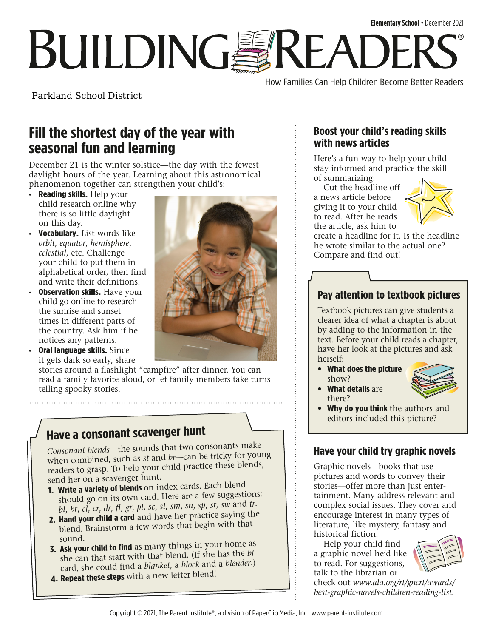# **BUILDINGSREADE** ®

How Families Can Help Children Become Better Readers

Parkland School District

## **Fill the shortest day of the year with seasonal fun and learning**

December 21 is the winter solstice—the day with the fewest daylight hours of the year. Learning about this astronomical phenomenon together can strengthen your child's:

- **Reading skills.** Help your child research online why there is so little daylight on this day.
- **Vocabulary.** List words like *orbit*, *equator*, *hemisphere*, *celestial*, etc. Challenge your child to put them in alphabetical order, then find and write their definitions.
- **Observation skills.** Have your child go online to research the sunrise and sunset times in different parts of the country. Ask him if he notices any patterns.
- **Oral language skills.** Since it gets dark so early, share

stories around a flashlight "campfire" after dinner. You can read a family favorite aloud, or let family members take turns telling spooky stories.

## **Have a consonant scavenger hunt**

*Consonant blends*—the sounds that two consonants make when combined, such as *st* and *br*—can be tricky for young readers to grasp. To help your child practice these blends, send her on a scavenger hunt.

- **1. Write a variety of blends** on index cards. Each blend should go on its own card. Here are a few suggestions: *bl*, *br*, *cl*, *cr*, *dr*, *fl*, *gr*, *pl*, *sc*, *sl*, *sm*, *sn*, *sp*, *st*, *sw* and *tr*.
- **2. Hand your child a card** and have her practice saying the blend. Brainstorm a few words that begin with that sound.
- **3. Ask your child to find** as many things in your home as she can that start with that blend. (If she has the *bl* card, she could find a *blanket*, <sup>a</sup>*block* and a *blender*.)
- **4. Repeat these steps** with a new letter blend!



### **Boost your child's reading skills with news articles**

Here's a fun way to help your child stay informed and practice the skill of summarizing:

Cut the headline off a news article before giving it to your child to read. After he reads the article, ask him to



create a headline for it. Is the headline he wrote similar to the actual one? Compare and find out!

### **Pay attention to textbook pictures**

Textbook pictures can give students a clearer idea of what a chapter is about by adding to the information in the text. Before your child reads a chapter, have her look at the pictures and ask herself:

• **What does the picture**  show?



- **What details** are there?
- **Why do you think** the authors and editors included this picture?

### **Have your child try graphic novels**

Graphic novels—books that use pictures and words to convey their stories—offer more than just entertainment. Many address relevant and complex social issues. They cover and encourage interest in many types of literature, like mystery, fantasy and historical fiction.

Help your child find a graphic novel he'd like to read. For suggestions, talk to the librarian or



check out *[www.ala.org/rt/gncrt/awards/](http://www.ala.org/rt/gncrt/awards/best-graphic-novels-children-reading-list) [best-graphic-novels-children-reading-list](http://www.ala.org/rt/gncrt/awards/best-graphic-novels-children-reading-list).*